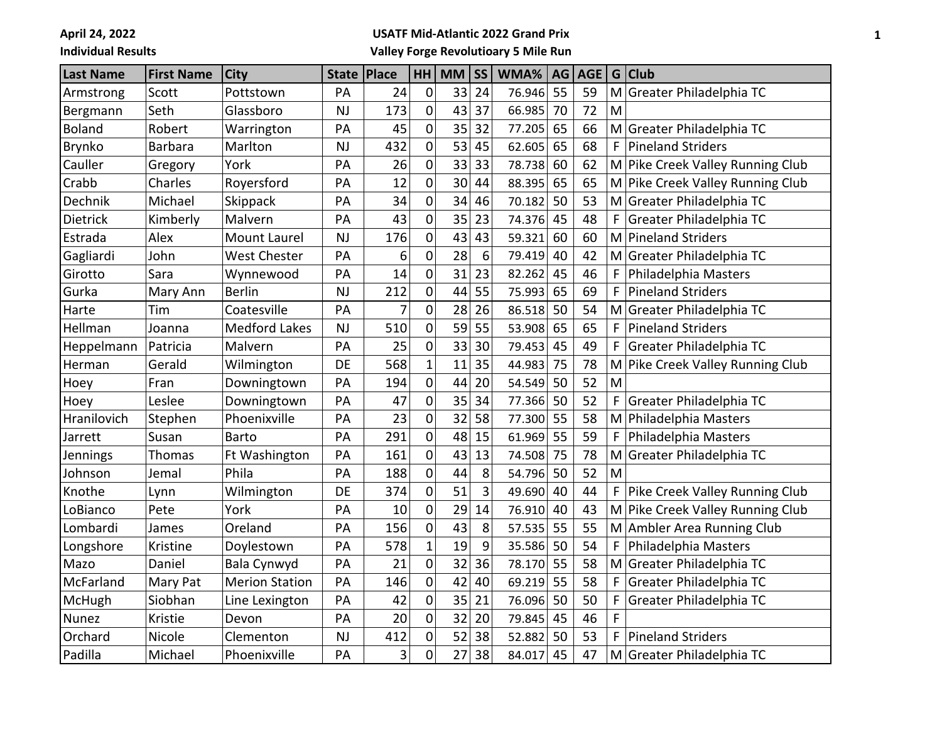**April 24, 2022**

**Individual Results**

## **USATF Mid-Atlantic 2022 Grand Prix**

**Valley Forge Revolutioary 5 Mile Run**

| <b>Last Name</b> | <b>First Name</b> | <b>City</b>           | <b>State</b> | Place | HH                  | <b>MM</b> | <b>SS</b> | WMA%   | AG | <b>AGE</b> |    | $G$ Club                         |
|------------------|-------------------|-----------------------|--------------|-------|---------------------|-----------|-----------|--------|----|------------|----|----------------------------------|
| Armstrong        | Scott             | Pottstown             | PA           | 24    | $\mathbf 0$         | 33        | 24        | 76.946 | 55 | 59         |    | M Greater Philadelphia TC        |
| Bergmann         | Seth              | Glassboro             | <b>NJ</b>    | 173   | $\pmb{0}$           | 43        | 37        | 66.985 | 70 | 72         | M  |                                  |
| <b>Boland</b>    | Robert            | Warrington            | PA           | 45    | 0                   | 35        | 32        | 77.205 | 65 | 66         |    | M Greater Philadelphia TC        |
| <b>Brynko</b>    | <b>Barbara</b>    | Marlton               | <b>NJ</b>    | 432   | 0                   | 53        | 45        | 62.605 | 65 | 68         | F  | Pineland Striders                |
| Cauller          | Gregory           | York                  | PA           | 26    | $\mathbf 0$         | 33        | 33        | 78.738 | 60 | 62         |    | M Pike Creek Valley Running Club |
| Crabb            | Charles           | Royersford            | PA           | 12    | $\pmb{0}$           | 30        | 44        | 88.395 | 65 | 65         |    | M Pike Creek Valley Running Club |
| Dechnik          | Michael           | Skippack              | PA           | 34    | 0                   | 34        | 46        | 70.182 | 50 | 53         |    | M Greater Philadelphia TC        |
| Dietrick         | Kimberly          | Malvern               | PA           | 43    | $\pmb{0}$           | 35        | 23        | 74.376 | 45 | 48         | F  | Greater Philadelphia TC          |
| Estrada          | Alex              | <b>Mount Laurel</b>   | <b>NJ</b>    | 176   | $\mathsf{O}\xspace$ | 43        | 43        | 59.321 | 60 | 60         |    | M Pineland Striders              |
| Gagliardi        | John              | <b>West Chester</b>   | PA           | 6     | $\pmb{0}$           | 28        | 6         | 79.419 | 40 | 42         |    | M Greater Philadelphia TC        |
| Girotto          | Sara              | Wynnewood             | PA           | 14    | 0                   | 31        | 23        | 82.262 | 45 | 46         |    | Philadelphia Masters             |
| Gurka            | Mary Ann          | <b>Berlin</b>         | <b>NJ</b>    | 212   | 0                   | 44        | 55        | 75.993 | 65 | 69         | F  | Pineland Striders                |
| Harte            | Tim               | Coatesville           | PA           | 7     | $\mathbf 0$         | 28        | 26        | 86.518 | 50 | 54         |    | M Greater Philadelphia TC        |
| Hellman          | Joanna            | <b>Medford Lakes</b>  | <b>NJ</b>    | 510   | $\pmb{0}$           | 59        | 55        | 53.908 | 65 | 65         | F  | Pineland Striders                |
| Heppelmann       | Patricia          | Malvern               | PA           | 25    | 0                   | 33        | 30        | 79.453 | 45 | 49         |    | Greater Philadelphia TC          |
| Herman           | Gerald            | Wilmington            | DE           | 568   | $\mathbf{1}$        | 11        | 35        | 44.983 | 75 | 78         |    | M Pike Creek Valley Running Club |
| Hoey             | Fran              | Downingtown           | PA           | 194   | $\mathbf 0$         | 44        | 20        | 54.549 | 50 | 52         | M  |                                  |
| Hoey             | Leslee            | Downingtown           | PA           | 47    | $\mathbf 0$         | 35        | 34        | 77.366 | 50 | 52         | F  | Greater Philadelphia TC          |
| Hranilovich      | Stephen           | Phoenixville          | PA           | 23    | 0                   | 32        | 58        | 77.300 | 55 | 58         |    | M Philadelphia Masters           |
| Jarrett          | Susan             | <b>Barto</b>          | PA           | 291   | $\mathbf 0$         | 48        | 15        | 61.969 | 55 | 59         | F  | Philadelphia Masters             |
| Jennings         | Thomas            | Ft Washington         | PA           | 161   | $\mathbf 0$         | 43        | 13        | 74.508 | 75 | 78         |    | M Greater Philadelphia TC        |
| Johnson          | Jemal             | Phila                 | PA           | 188   | $\mathbf 0$         | 44        | 8         | 54.796 | 50 | 52         | M  |                                  |
| Knothe           | Lynn              | Wilmington            | DE           | 374   | 0                   | 51        | 3         | 49.690 | 40 | 44         |    | F Pike Creek Valley Running Club |
| LoBianco         | Pete              | York                  | PA           | 10    | $\mathbf 0$         | 29        | 14        | 76.910 | 40 | 43         |    | M Pike Creek Valley Running Club |
| Lombardi         | James             | Oreland               | PA           | 156   | $\pmb{0}$           | 43        | 8         | 57.535 | 55 | 55         |    | M Ambler Area Running Club       |
| Longshore        | Kristine          | Doylestown            | PA           | 578   | 1                   | 19        | 9         | 35.586 | 50 | 54         |    | Philadelphia Masters             |
| Mazo             | Daniel            | Bala Cynwyd           | PA           | 21    | 0                   | 32        | 36        | 78.170 | 55 | 58         |    | M Greater Philadelphia TC        |
| McFarland        | Mary Pat          | <b>Merion Station</b> | PA           | 146   | $\pmb{0}$           | 42        | 40        | 69.219 | 55 | 58         | F. | Greater Philadelphia TC          |
| McHugh           | Siobhan           | Line Lexington        | PA           | 42    | $\mathbf 0$         | 35        | 21        | 76.096 | 50 | 50         | F  | Greater Philadelphia TC          |
| Nunez            | Kristie           | Devon                 | PA           | 20    | 0                   | 32        | 20        | 79.845 | 45 | 46         | F  |                                  |
| Orchard          | Nicole            | Clementon             | <b>NJ</b>    | 412   | $\pmb{0}$           | 52        | 38        | 52.882 | 50 | 53         | F. | Pineland Striders                |
| Padilla          | Michael           | Phoenixville          | PA           | 3     | 0                   | 27        | 38        | 84.017 | 45 | 47         |    | M Greater Philadelphia TC        |